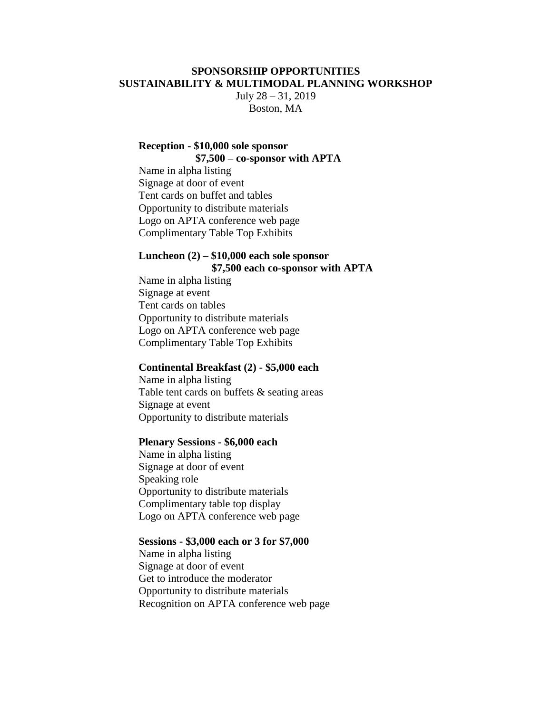### **SPONSORSHIP OPPORTUNITIES SUSTAINABILITY & MULTIMODAL PLANNING WORKSHOP**

July 28 – 31, 2019 Boston, MA

### **Reception - \$10,000 sole sponsor \$7,500 – co-sponsor with APTA**

Name in alpha listing Signage at door of event Tent cards on buffet and tables Opportunity to distribute materials Logo on APTA conference web page Complimentary Table Top Exhibits

## **Luncheon (2) – \$10,000 each sole sponsor \$7,500 each co-sponsor with APTA**

Name in alpha listing Signage at event Tent cards on tables Opportunity to distribute materials Logo on APTA conference web page Complimentary Table Top Exhibits

#### **Continental Breakfast (2) - \$5,000 each**

Name in alpha listing Table tent cards on buffets & seating areas Signage at event Opportunity to distribute materials

#### **Plenary Sessions - \$6,000 each**

Name in alpha listing Signage at door of event Speaking role Opportunity to distribute materials Complimentary table top display Logo on APTA conference web page

#### **Sessions - \$3,000 each or 3 for \$7,000**

Name in alpha listing Signage at door of event Get to introduce the moderator Opportunity to distribute materials Recognition on APTA conference web page